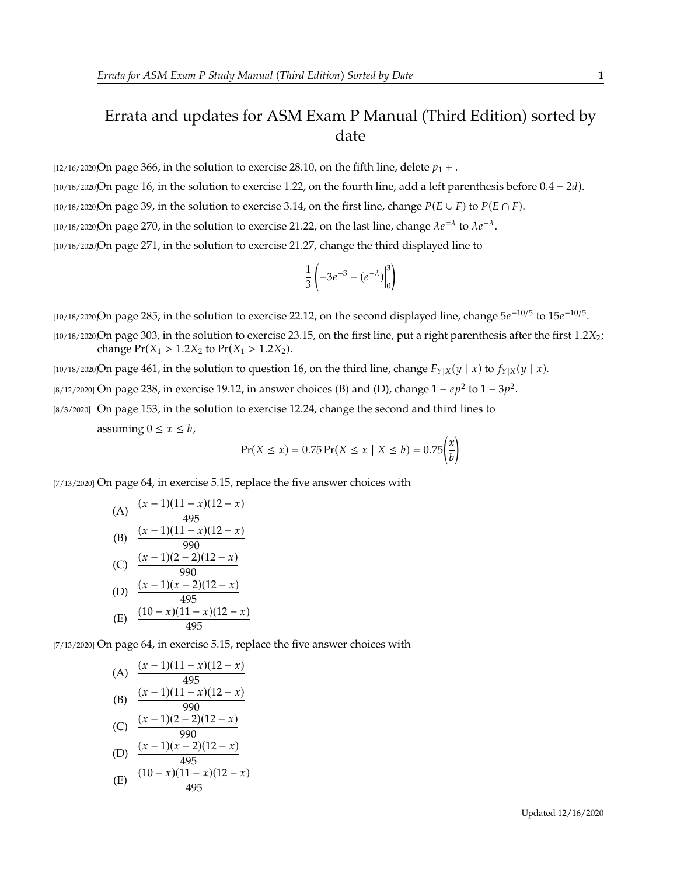## Errata and updates for ASM Exam P Manual (Third Edition) sorted by date

[12/16/2020]On page 366, in the solution to exercise 28.10, on the fifth line, delete  $p_1 +$ .

[ $10/18/2020$ On page 16, in the solution to exercise 1.22, on the fourth line, add a left parenthesis before  $0.4 - 2d$ ).

[10/18/2020]On page 39, in the solution to exercise 3.14, on the first line, change  $P(E \cup F)$  to  $P(E \cap F)$ .

[10/18/2020]On page 270, in the solution to exercise 21.22, on the last line, change  $\lambda e^{-\lambda}$  to  $\lambda e^{-\lambda}$ .

[10/18/2020]On page 271, in the solution to exercise 21.27, change the third displayed line to

$$
\frac{1}{3}\left(-3e^{-3}-(e^{-\lambda})\Big|_0^3\right)
$$

[10/18/2020]On page 285, in the solution to exercise 22.12, on the second displayed line, change  $5e^{-10/5}$  to  $15e^{-10/5}$ .

- $10/18/2020$ On page 303, in the solution to exercise 23.15, on the first line, put a right parenthesis after the first 1.2 $X_2$ ; change  $Pr(X_1 > 1.2X_2 \text{ to } Pr(X_1 > 1.2X_2)$ .
- [10/18/2020]On page 461, in the solution to question 16, on the third line, change  $F_{Y|X}(y | x)$  to  $f_{Y|X}(y | x)$ .
- [8/12/2020] On page 238, in exercise 19.12, in answer choices (B) and (D), change  $1 ep^2$  to  $1 3p^2$ .

[8/3/2020] On page 153, in the solution to exercise 12.24, change the second and third lines to assuming  $0 \le x \le b$ ,

$$
Pr(X \le x) = 0.75 Pr(X \le x \mid X \le b) = 0.75 \left(\frac{x}{b}\right)
$$

[7/13/2020] On page 64, in exercise 5.15, replace the five answer choices with

(A) 
$$
\frac{(x-1)(11-x)(12-x)}{495}
$$
\n(B) 
$$
\frac{(x-1)(11-x)(12-x)}{990}
$$
\n(C) 
$$
\frac{(x-1)(2-2)(12-x)}{990}
$$
\n(D) 
$$
\frac{(x-1)(x-2)(12-x)}{495}
$$
\n(E) 
$$
\frac{(10-x)(11-x)(12-x)}{495}
$$

[7/13/2020] On page 64, in exercise 5.15, replace the five answer choices with

(A) 
$$
\frac{(x-1)(11-x)(12-x)}{495}
$$
  
\n(B) 
$$
\frac{(x-1)(11-x)(12-x)}{990}
$$
  
\n(C) 
$$
\frac{(x-1)(2-2)(12-x)}{990}
$$
  
\n(D) 
$$
\frac{(x-1)(x-2)(12-x)}{495}
$$
  
\n(E) 
$$
\frac{(10-x)(11-x)(12-x)}{495}
$$